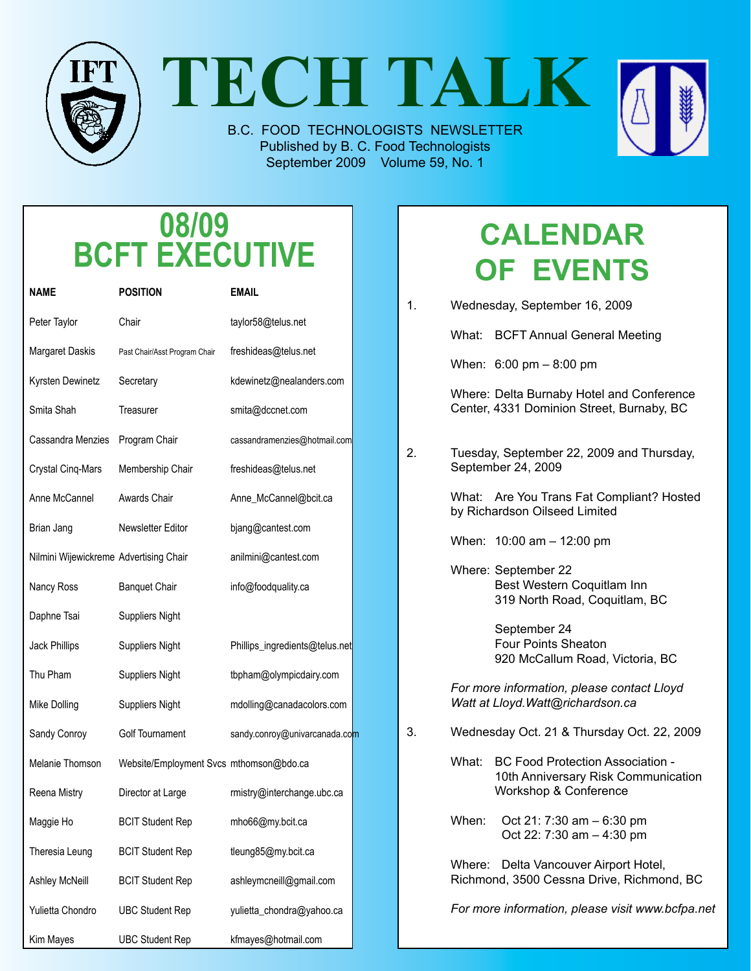

**TECH TALK**

B.C. FOOD TECHNOLOGISTS NEWSLETTER Published by B. C. Food Technologists September 2009 Volume 59, No. 1



# **08/09 BCFT EXECUTIVE**

| NAME                                   | <b>POSITION</b>                         | <b>EMAIL</b>                   |  |
|----------------------------------------|-----------------------------------------|--------------------------------|--|
| Peter Taylor                           | Chair                                   | taylor58@telus.net             |  |
| Margaret Daskis                        | Past Chair/Asst Program Chair           | freshideas@telus.net           |  |
| Kyrsten Dewinetz                       | Secretary                               | kdewinetz@nealanders.com       |  |
| Smita Shah                             | Treasurer                               | smita@dccnet.com               |  |
| Cassandra Menzies                      | Program Chair                           | cassandramenzies@hotmail.com   |  |
| Crystal Cinq-Mars                      | Membership Chair                        | freshideas@telus.net           |  |
| Anne McCannel                          | Awards Chair                            | Anne_McCannel@bcit.ca          |  |
| Brian Jang                             | Newsletter Editor                       | bjang@cantest.com              |  |
| Nilmini Wijewickreme Advertising Chair |                                         | anilmini@cantest.com           |  |
| Nancy Ross                             | <b>Banquet Chair</b>                    | info@foodquality.ca            |  |
| Daphne Tsai                            | <b>Suppliers Night</b>                  |                                |  |
| Jack Phillips                          | <b>Suppliers Night</b>                  | Phillips_ingredients@telus.net |  |
| Thu Pham                               | <b>Suppliers Night</b>                  | tbpham@olympicdairy.com        |  |
| Mike Dolling                           | <b>Suppliers Night</b>                  | mdolling@canadacolors.com      |  |
| Sandy Conroy                           | Golf Tournament                         | sandy.conroy@univarcanada.com  |  |
| Melanie Thomson                        | Website/Employment Svcs mthomson@bdo.ca |                                |  |
| Reena Mistry                           | Director at Large                       | rmistry@interchange.ubc.ca     |  |
| Maggie Ho                              | <b>BCIT Student Rep</b>                 | mho66@my.bcit.ca               |  |
| Theresia Leung                         | <b>BCIT Student Rep</b>                 | tleung85@my.bcit.ca            |  |
| Ashley McNeill                         | <b>BCIT Student Rep</b>                 | ashleymcneill@gmail.com        |  |
| Yulietta Chondro                       | <b>UBC Student Rep</b>                  | yulietta_chondra@yahoo.ca      |  |
| Kim Mayes                              | <b>UBC Student Rep</b>                  | kfmayes@hotmail.com            |  |

# **Calendar of Events**

| 1. | Wednesday, September 16, 2009                                                   |                                                                                                         |  |  |
|----|---------------------------------------------------------------------------------|---------------------------------------------------------------------------------------------------------|--|--|
|    |                                                                                 | What: BCFT Annual General Meeting                                                                       |  |  |
|    |                                                                                 | When: $6:00 \text{ pm} - 8:00 \text{ pm}$                                                               |  |  |
|    |                                                                                 | Where: Delta Burnaby Hotel and Conference<br>Center, 4331 Dominion Street, Burnaby, BC                  |  |  |
| 2. |                                                                                 | Tuesday, September 22, 2009 and Thursday,<br>September 24, 2009                                         |  |  |
|    |                                                                                 | What: Are You Trans Fat Compliant? Hosted<br>by Richardson Oilseed Limited                              |  |  |
|    |                                                                                 | When: $10:00$ am $- 12:00$ pm                                                                           |  |  |
|    |                                                                                 | Where: September 22<br>Best Western Coquitlam Inn<br>319 North Road, Coquitlam, BC                      |  |  |
|    |                                                                                 | September 24<br>Four Points Sheaton<br>920 McCallum Road, Victoria, BC                                  |  |  |
|    | For more information, please contact Lloyd<br>Watt at Lloyd. Watt@richardson.ca |                                                                                                         |  |  |
| 3. | Wednesday Oct. 21 & Thursday Oct. 22, 2009                                      |                                                                                                         |  |  |
|    | What:                                                                           | <b>BC Food Protection Association -</b><br>10th Anniversary Risk Communication<br>Workshop & Conference |  |  |
|    | When:                                                                           | Oct 21: 7:30 am - 6:30 pm<br>Oct 22: 7:30 am - 4:30 pm                                                  |  |  |
|    | Where:                                                                          | Delta Vancouver Airport Hotel,<br>Richmond, 3500 Cessna Drive, Richmond, BC                             |  |  |
|    |                                                                                 | For more information, please visit www.bcfpa.net                                                        |  |  |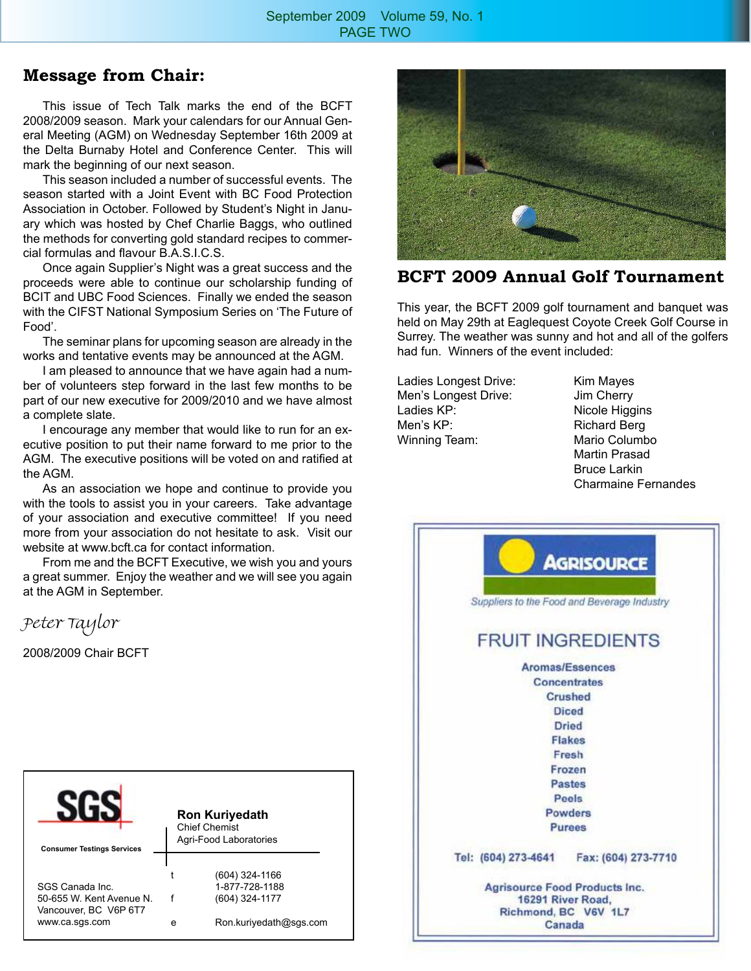### **Message from Chair:**

This issue of Tech Talk marks the end of the BCFT 2008/2009 season. Mark your calendars for our Annual General Meeting (AGM) on Wednesday September 16th 2009 at the Delta Burnaby Hotel and Conference Center. This will mark the beginning of our next season.

This season included a number of successful events. The season started with a Joint Event with BC Food Protection Association in October. Followed by Student's Night in January which was hosted by Chef Charlie Baggs, who outlined the methods for converting gold standard recipes to commercial formulas and flavour B.A.S.I.C.S.

Once again Supplier's Night was a great success and the proceeds were able to continue our scholarship funding of BCIT and UBC Food Sciences. Finally we ended the season with the CIFST National Symposium Series on 'The Future of Food'.

The seminar plans for upcoming season are already in the works and tentative events may be announced at the AGM.

I am pleased to announce that we have again had a number of volunteers step forward in the last few months to be part of our new executive for 2009/2010 and we have almost a complete slate.

I encourage any member that would like to run for an executive position to put their name forward to me prior to the AGM. The executive positions will be voted on and ratified at the AGM.

As an association we hope and continue to provide you with the tools to assist you in your careers. Take advantage of your association and executive committee! If you need more from your association do not hesitate to ask. Visit our website at www.bcft.ca for contact information.

From me and the BCFT Executive, we wish you and yours a great summer. Enjoy the weather and we will see you again at the AGM in September.

Peter Taylor

2008/2009 Chair BCFT





### **BCFT 2009 Annual Golf Tournament**

This year, the BCFT 2009 golf tournament and banquet was held on May 29th at Eaglequest Coyote Creek Golf Course in Surrey. The weather was sunny and hot and all of the golfers had fun. Winners of the event included:

Ladies Longest Drive: Kim Mayes Men's Longest Drive: Jim Cherry Ladies KP: Nicole Higgins Men's KP: Richard Berg Winning Team: Mario Columbo

 Martin Prasad Bruce Larkin Charmaine Fernandes

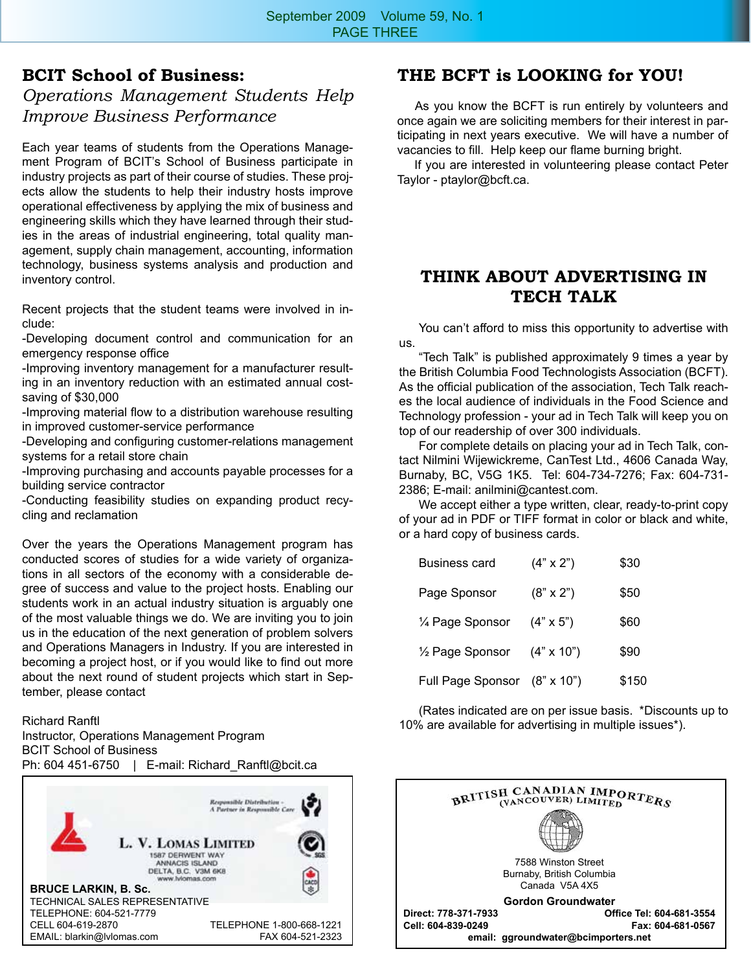## **BCIT School of Business:**  *Operations Management Students Help Improve Business Performance*

Each year teams of students from the Operations Management Program of BCIT's School of Business participate in industry projects as part of their course of studies. These projects allow the students to help their industry hosts improve operational effectiveness by applying the mix of business and engineering skills which they have learned through their studies in the areas of industrial engineering, total quality management, supply chain management, accounting, information technology, business systems analysis and production and inventory control.

Recent projects that the student teams were involved in include:

-Developing document control and communication for an emergency response office

-Improving inventory management for a manufacturer resulting in an inventory reduction with an estimated annual costsaving of \$30,000

-Improving material flow to a distribution warehouse resulting in improved customer-service performance

-Developing and configuring customer-relations management systems for a retail store chain

-Improving purchasing and accounts payable processes for a building service contractor

-Conducting feasibility studies on expanding product recycling and reclamation

Over the years the Operations Management program has conducted scores of studies for a wide variety of organizations in all sectors of the economy with a considerable degree of success and value to the project hosts. Enabling our students work in an actual industry situation is arguably one of the most valuable things we do. We are inviting you to join us in the education of the next generation of problem solvers and Operations Managers in Industry. If you are interested in becoming a project host, or if you would like to find out more about the next round of student projects which start in September, please contact

Richard Ranftl Instructor, Operations Management Program BCIT School of Business Ph: 604 451-6750 | E-mail: Richard Ranftl@bcit.ca



# **THE BCFT is LOOKING for YOU!**

 As you know the BCFT is run entirely by volunteers and once again we are soliciting members for their interest in participating in next years executive. We will have a number of vacancies to fill. Help keep our flame burning bright.

 If you are interested in volunteering please contact Peter Taylor - ptaylor@bcft.ca.

# **THINK ABOUT ADVERTISING IN TECH TALK**

You can't afford to miss this opportunity to advertise with us.

"Tech Talk" is published approximately 9 times a year by the British Columbia Food Technologists Association (BCFT). As the official publication of the association, Tech Talk reaches the local audience of individuals in the Food Science and Technology profession - your ad in Tech Talk will keep you on top of our readership of over 300 individuals.

For complete details on placing your ad in Tech Talk, contact Nilmini Wijewickreme, CanTest Ltd., 4606 Canada Way, Burnaby, BC, V5G 1K5. Tel: 604-734-7276; Fax: 604-731- 2386; E-mail: anilmini@cantest.com.

We accept either a type written, clear, ready-to-print copy of your ad in PDF or TIFF format in color or black and white, or a hard copy of business cards.

| <b>Business card</b>         | $(4" \times 2")$  | \$30  |
|------------------------------|-------------------|-------|
| Page Sponsor                 | $(8" \times 2")$  | \$50  |
| 1⁄4 Page Sponsor             | $(4" \times 5")$  | \$60  |
| 1/ <sub>2</sub> Page Sponsor | $(4" \times 10")$ | \$90  |
| Full Page Sponsor (8" x 10") |                   | \$150 |

(Rates indicated are on per issue basis. \*Discounts up to 10% are available for advertising in multiple issues\*).

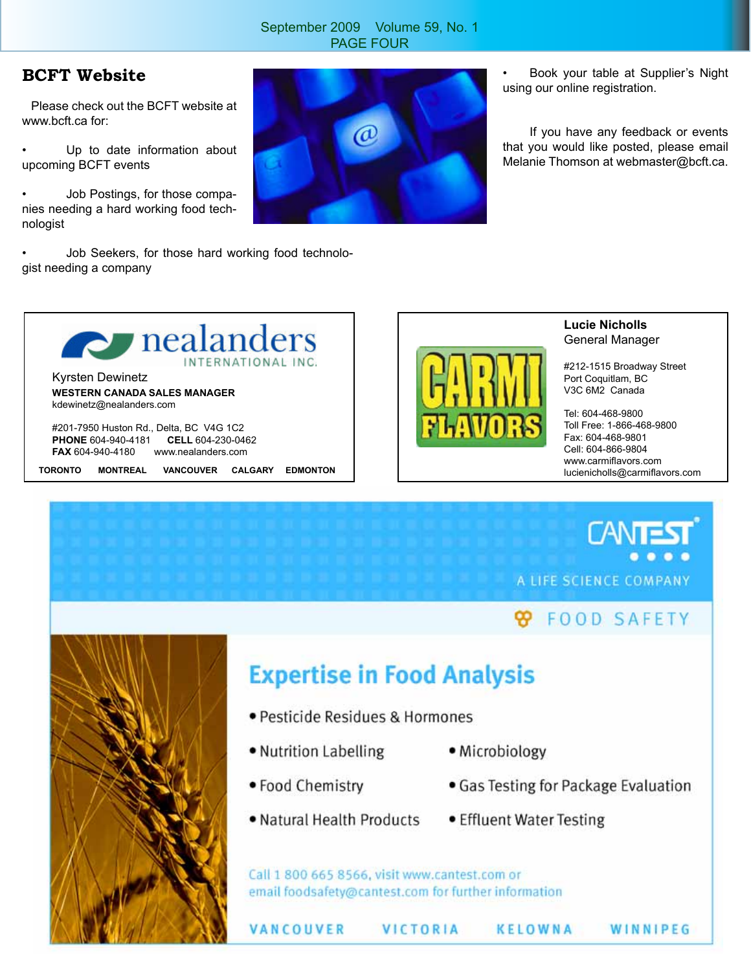#### September 2009 Volume 59, No. 1 PAGE FOUR

## **BCFT Website**

 Please check out the BCFT website at www.bcft.ca for:

Up to date information about upcoming BCFT events

• Job Postings, for those companies needing a hard working food technologist

• Job Seekers, for those hard working food technologist needing a company



• Book your table at Supplier's Night using our online registration.

If you have any feedback or events that you would like posted, please email Melanie Thomson at webmaster@bcft.ca.



**FAX** 604-940-4180 www.nealanders.com

**TORONTO MONTREAL VANCOUVER CALGARY EDMONTON**



**Lucie Nicholls** General Manager

#212-1515 Broadway Street Port Coquitlam, BC V3C 6M2 Canada

Tel: 604-468-9800 Toll Free: 1-866-468-9800 Fax: 604-468-9801 Cell: 604-866-9804 www.carmiflavors.com lucienicholls@carmiflavors.com

**CANT** A LIFE SCIENCE COMPANY

# **B** FOOD SAFETY



# **Expertise in Food Analysis**

- · Pesticide Residues & Hormones
- Nutrition Labelling
- Microbiology
- Food Chemistry
- Natural Health Products
- Gas Testing for Package Evaluation
- Effluent Water Testing

Call 1 800 665 8566, visit www.cantest.com or email foodsafety@cantest.com for further information

VANCOUVER

VICTORIA

KELOWNA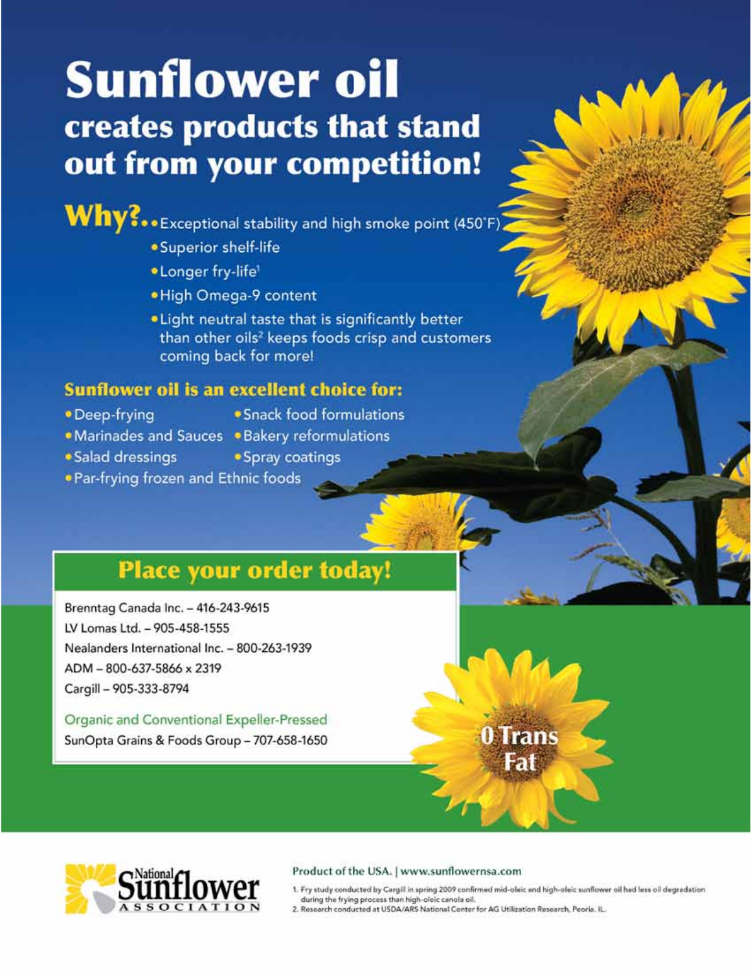# **Sunflower oil** creates products that stand out from your competition!

Why?..Exceptional stability and high smoke point (450°F)

- · Superior shelf-life
- · Longer fry-life'
- . High Omega-9 content
- . Light neutral taste that is significantly better than other oils<sup>2</sup> keeps foods crisp and customers coming back for more!

# **Sunflower oil is an excellent choice for:**

- · Deep-frying
- Snack food formulations
- 
- Marinades and Sauces Bakery reformulations
- · Salad dressings
- · Spray coatings
- . Par-frying frozen and Ethnic foods

# **Place your order today!**

Brenntag Canada Inc. - 416-243-9615 LV Lomas Ltd. - 905-458-1555 Nealanders International Inc. - 800-263-1939 ADM-800-637-5866 x 2319 Cargill - 905-333-8794

Organic and Conventional Expeller-Pressed SunOpta Grains & Foods Group - 707-658-1650

#### Product of the USA. | www.sunflowernsa.com

1. Fry study conducted by Cargill in spring 2009 confirmed mid-oleic and high-oleic sunflower oil had less oil degradation during the frying process than high-oleic canola oil.

0 Trans

-ai

2. Research conducted at USDA/ARS National Center for AG Utilization Research, Peoria. IL.